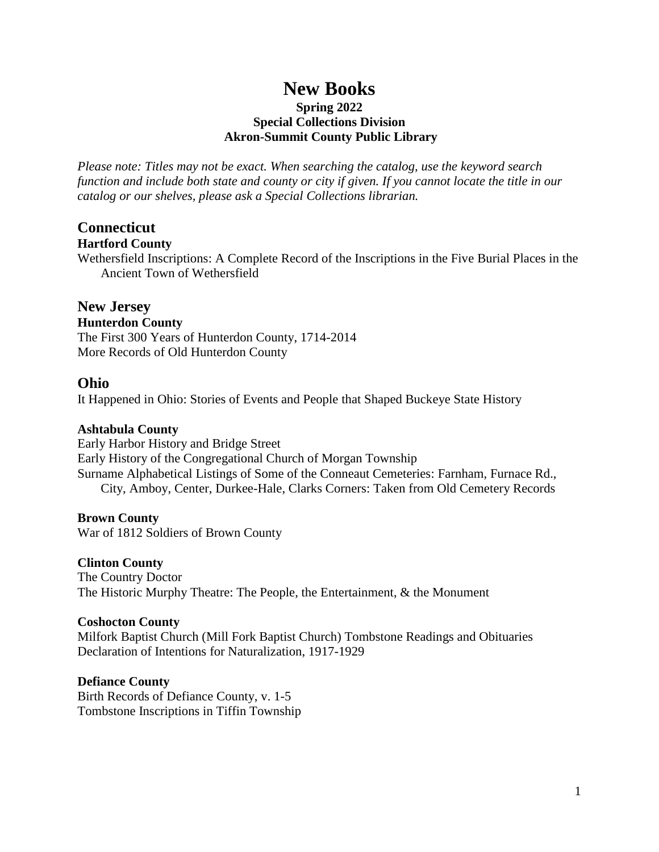# **New Books**

## **Spring 2022 Special Collections Division Akron-Summit County Public Library**

*Please note: Titles may not be exact. When searching the catalog, use the keyword search function and include both state and county or city if given. If you cannot locate the title in our catalog or our shelves, please ask a Special Collections librarian.*

# **Connecticut**

## **Hartford County**

Wethersfield Inscriptions: A Complete Record of the Inscriptions in the Five Burial Places in the Ancient Town of Wethersfield

# **New Jersey**

## **Hunterdon County**

The First 300 Years of Hunterdon County, 1714-2014 More Records of Old Hunterdon County

# **Ohio**

It Happened in Ohio: Stories of Events and People that Shaped Buckeye State History

## **Ashtabula County**

Early Harbor History and Bridge Street Early History of the Congregational Church of Morgan Township Surname Alphabetical Listings of Some of the Conneaut Cemeteries: Farnham, Furnace Rd., City, Amboy, Center, Durkee-Hale, Clarks Corners: Taken from Old Cemetery Records

## **Brown County**

War of 1812 Soldiers of Brown County

## **Clinton County**

The Country Doctor The Historic Murphy Theatre: The People, the Entertainment, & the Monument

### **Coshocton County**

Milfork Baptist Church (Mill Fork Baptist Church) Tombstone Readings and Obituaries Declaration of Intentions for Naturalization, 1917-1929

## **Defiance County**

Birth Records of Defiance County, v. 1-5 Tombstone Inscriptions in Tiffin Township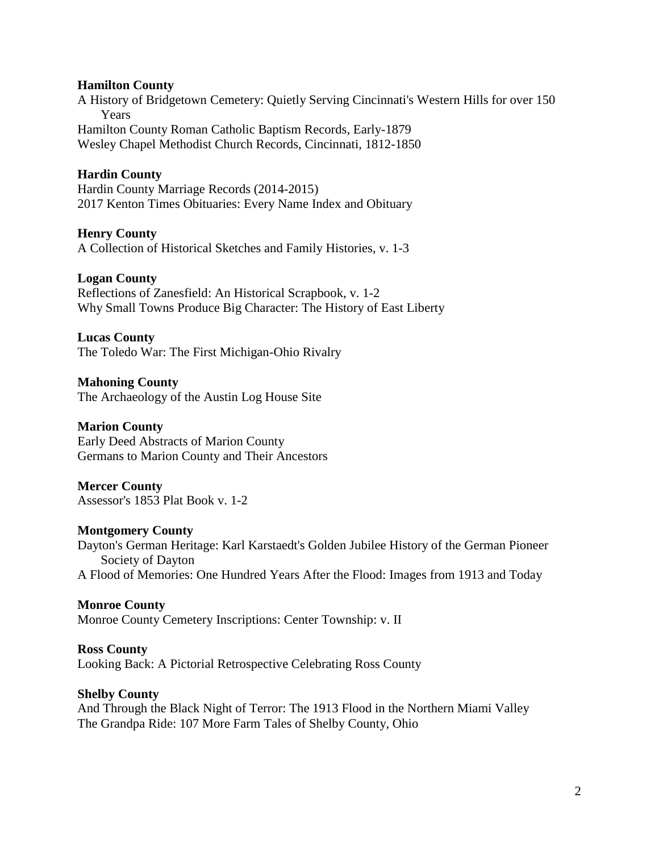#### **Hamilton County**

A History of Bridgetown Cemetery: Quietly Serving Cincinnati's Western Hills for over 150 **Years** Hamilton County Roman Catholic Baptism Records, Early-1879 Wesley Chapel Methodist Church Records, Cincinnati, 1812-1850

#### **Hardin County**

Hardin County Marriage Records (2014-2015) 2017 Kenton Times Obituaries: Every Name Index and Obituary

#### **Henry County**

A Collection of Historical Sketches and Family Histories, v. 1-3

#### **Logan County**

Reflections of Zanesfield: An Historical Scrapbook, v. 1-2 Why Small Towns Produce Big Character: The History of East Liberty

#### **Lucas County**

The Toledo War: The First Michigan-Ohio Rivalry

**Mahoning County** The Archaeology of the Austin Log House Site

#### **Marion County**

Early Deed Abstracts of Marion County Germans to Marion County and Their Ancestors

#### **Mercer County**

Assessor's 1853 Plat Book v. 1-2

#### **Montgomery County**

Dayton's German Heritage: Karl Karstaedt's Golden Jubilee History of the German Pioneer Society of Dayton A Flood of Memories: One Hundred Years After the Flood: Images from 1913 and Today

#### **Monroe County**

Monroe County Cemetery Inscriptions: Center Township: v. II

#### **Ross County**

Looking Back: A Pictorial Retrospective Celebrating Ross County

#### **Shelby County**

And Through the Black Night of Terror: The 1913 Flood in the Northern Miami Valley The Grandpa Ride: 107 More Farm Tales of Shelby County, Ohio